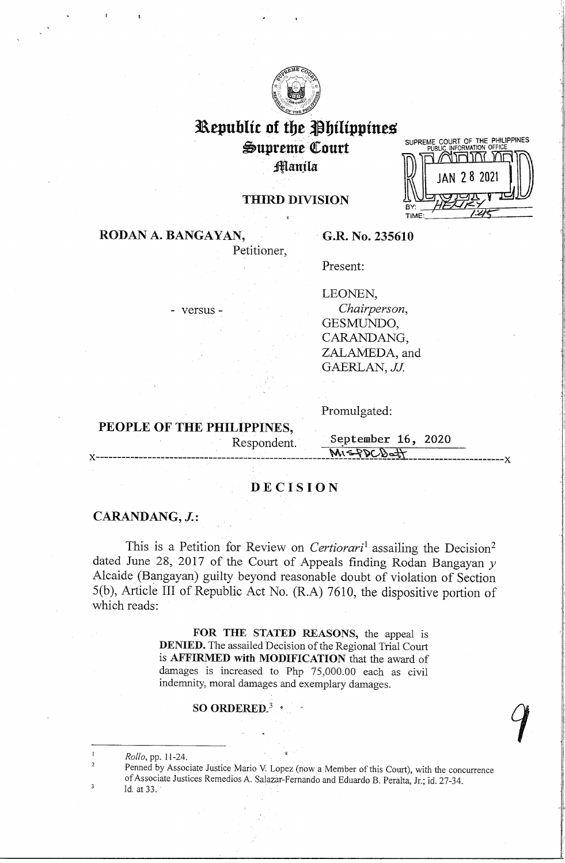

# **Republic of the Philippines**

 $\bigcirc$ upreme Court **Manila** 



# **THIRD DIVISION**

**RODAN A. BANGAYAN,** 

**G.R. No. 235610** 

Present:

- versus -

LEONEN,

*Chairperson,*  GESMUNDO, CARANDANG, ZALAMEDA, and GAERLAN, *JJ*.

Promulgated:

**PEOPLE OF THE PHILIPPINES,** 

Petitioner,

Respondent. **September 16, 2020**  $M158DCB$  of  $\uparrow$ 

# **DECISION**

## **CARANDANG, J.:**

This is a Petition for Review on *Certiorari*<sup>1</sup> assailing the Decision<sup>2</sup> dated June 28, 2017 of the Court of Appeals finding Rodan Bangayan *y*  Alcaide (Bangayan) guilty beyond reasonable doubt of violation of Section 5(b), Article III of Republic Act No. (R.A) 7610, the dispositive portion of which reads:

> **FOR THE STATED REASONS,** the appeal is **DENIED.** The assailed Decision of the Regional Trial Court is **AFFIRMED with MODIFICATION** that the award of damages is increased to Php 75,000.00 each as civil indemnity, moral damages and exemplary damages.

# **SO ORDERED.<sup>3</sup>**•

*Rollo,* pp. 11-24.

2

 $\overline{\mathbf{3}}$ 

Penned by Associate Justice Mario V. Lopez (now a Member of this Court), with the concurrence of Associate Justices Remedios A. Salazar-Fernando and Eduardo B. Peralta, Jr.; id. 27-34. Id. at 33.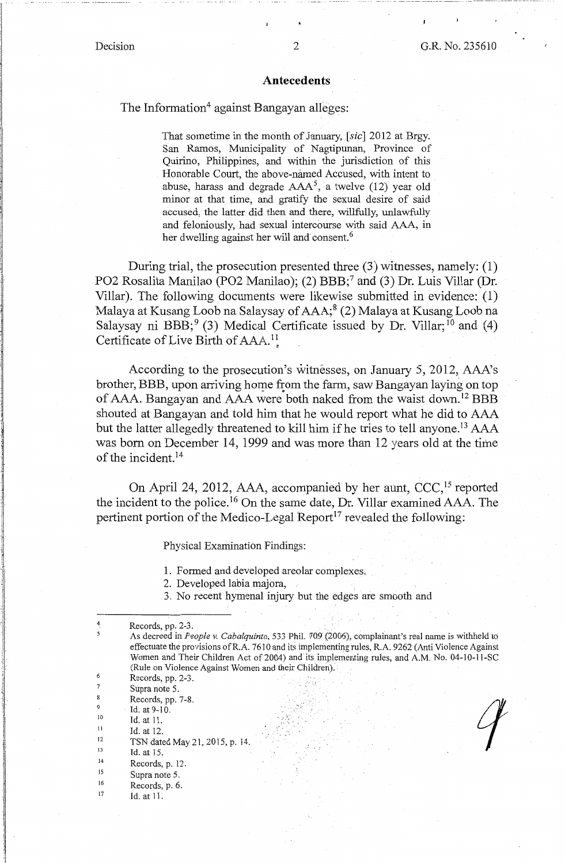-- ---·-• --·-·--··-·-·-·-- - -----·--·-·•--...JI.-----·------

### **Antecedents**

### The Information<sup>4</sup> against Bangayan alleges:

That sometime in the month of January, [sic] 2012 at Brgy. San Ramos, Municipality of Nagtipunan, Province of Quirino, Philippines, and within the jurisdiction of this Honorable Court, the above-named Accused, with intent to abuse, harass and degrade  $AAA^5$ , a twelve (12) year old minor at that time, and gratify the sexual desire of said accused, the latter did then and there, willfully, unlawfully and feloniously, had sexual intercourse with said AAA, in her dwelling against her will and consent.<sup>6</sup>

During trial, the prosecution presented three (3) witnesses, namely: (1) PO2 Rosalita Manilao (PO2 Manilao); (2) BBB;<sup>7</sup> and (3) Dr. Luis Villar (Dr. Villar). The following documents were likewise submitted in evidence: (1) Malaya at Kusang Loob na Salaysay of AAA;<sup>8</sup>(2) Malaya at Kusang Loob na Salaysay ni BBB;  $(3)$  Medical Certificate issued by Dr. Villar;  $(4)$ Certificate of Live Birth of AAA.<sup>11</sup>,

According to the prosecution's witnesses, on January 5, 2012, AAA's brother, BBB, upon arriving home from the farm, saw Bangayan laying on top. of AAA. Bangayan and AAA were both naked from the waist down.<sup>12</sup> BBB shouted at Bangayan and told him that he would report what he did to AAA but the latter allegedly threatened to kill him if he tries to tell anyone.<sup>13</sup> AAA was born on December 14, 1999 and was more than 12 years old at the time of the incident.<sup>14</sup>

On April 24, 2012, AAA, accompanied by her aunt, CCC,<sup>15</sup> reported the incident to the police. 16 On the same date, Dr. Villar examined AAA. The pertinent portion of the Medico-Legal Report<sup>17</sup> revealed the following:

Physical Examination Findings:

- 1. Formed and developed areolar complexes;
- 2. Developed labia majora,
- 3. No recent hymenal injury but the edges are smooth and

9 Id. at 9-10.

- 10 II Id. at 11.
	- Id. at 12.

12 TSN dated May 21, 2015, p. 14.

- 13 Id. at 15.
- 14 15 Records, p. 12.
- 16 Supra note 5.
- 17 Records, p. 6.
- Id. at 11.

<sup>4</sup>  Records, pp. 2-3. . As decreed in *People v. Cabalquinto,* 533 PhiL 709 {2006), complainant's real name is withheld to 5 effectuate the provisions of R.A. 7610 and its implementing rules, R.A. 9262 (Anti Violence Against Women and Their Children Act of 2004) and its implementing rules, and A.M. No. 04-10-11-SC (Rule on Violence Against Women and their Children). 6 Records, pp. 2-3. 7 Supra note 5. 8 Records, pp. 7-8.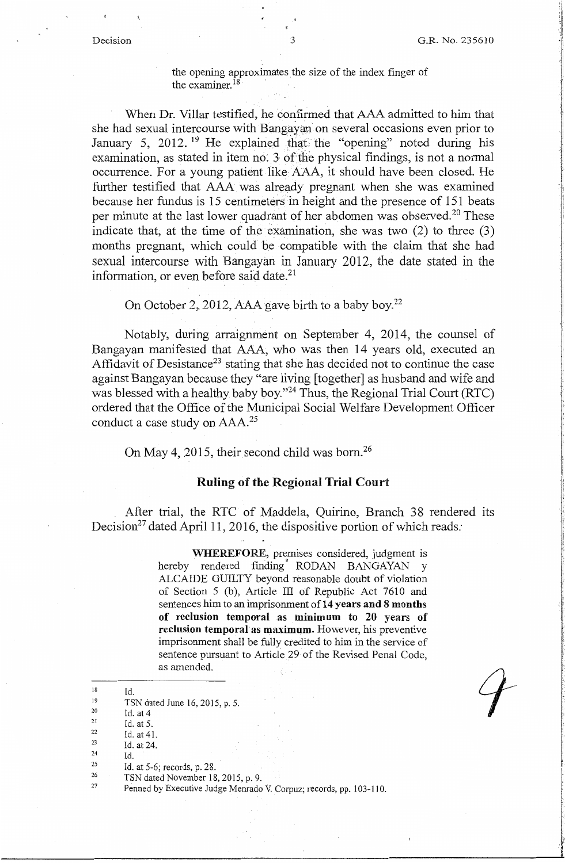i :1

 $\cdot$ 

### the opening approximates the size of the index finger of the examiner. 18

When Dr. Villar testified, he confirmed that AAA admitted to him that she had sexual intercourse with Bangayan on several occasions even prior to January 5, 2012.<sup>19</sup> He explained that the "opening" noted during his examination, as stated in item no. 3 of the physical findings, is not a normal occurrence. For a young patient like AAA, it should have been closed. He further testified that AAA was already pregnant when she was examined because her fundus is 15 centimeters in height and the presence of 151 beats per minute at the last lower quadrant of her abdomen was observed.<sup>20</sup> These indicate that, at the time of the examination, she was two (2) to three (3) months pregnant, which could be compatible with the claim that she had sexual intercourse with Bangayan in January 2012, the date stated in the information, or even before said date.<sup>21</sup>

On October 2, 2012, AAA gave birth to a baby boy.<sup>22</sup>

Notably, during arraignment on September 4, 2014, the counsel of Bangayan manifested that AAA, who was then 14 years old, executed an Affidavit of Desistance<sup>23</sup> stating that she has decided not to continue the case against Bangayan because they "are living [together] as husband and wife and was blessed with a healthy baby boy."<sup>24</sup> Thus, the Regional Trial Court (RTC) ordered that the Office of the Municipal Social Welfare Development Officer conduct a case study on AAA.<sup>25</sup>

On May 4, 2015, their second child was born.<sup>26</sup>

### **Ruling of the Regional Trial Court**

After trial, the RTC of Maddela, Quirino, Branch 38 rendered its Decision<sup>27</sup> dated April 11, 2016, the dispositive portion of which reads:

> **WHEREFORE,** premises considered, judgment is hereby rendered finding RODAN BANGAYAN y ALCAIDE GUILTY beyond reasonable doubt of violation of Section 5 (b), Article III of Republic Act 7610 and sentences him to an imprisonment **of14 years and 8 months of reclusion temporal as minimum to 20 years of reclusion temporal as maximum.** However, his preventive imprisonment shall be fully credited to him in the service of sentence pursuant to Article 29 of the Revised Penal Code, as amended.

Id.

21 Id. at 5.

- 23 Id. at 24.
- 24 25 Id.

<sup>18</sup> 

<sup>19</sup>  TSN dated June 16, 2015, p. 5.

<sup>20</sup>  Id. at 4

<sup>22</sup>  Id. at 41.

Id. at 5-6; records, p. 28.

<sup>26</sup>  27 TSN dated November 18, 2015, p. 9.

Penned by Executive Judge Menrado V. Corpuz; records, pp. 103-110.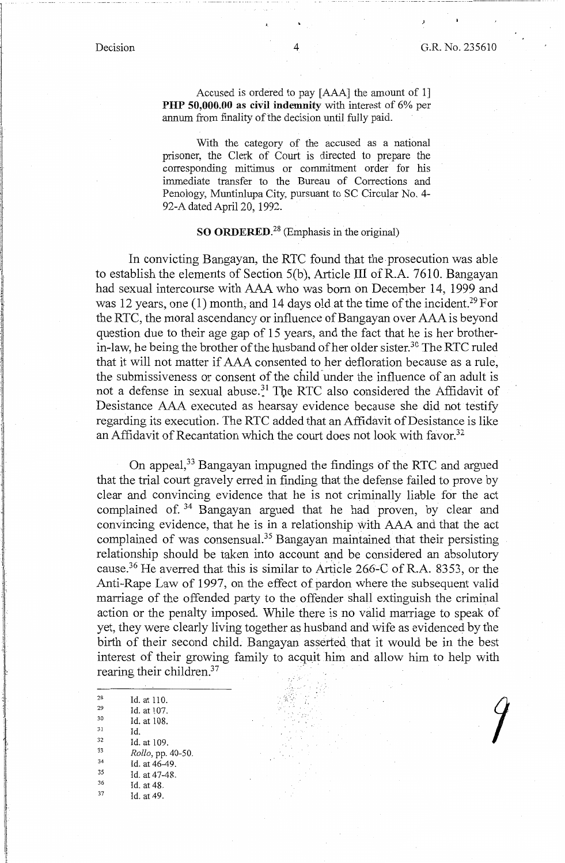'J.

*)* 

Accused is ordered to pay [ AAA] the amount of 1] **PHP 50,000.00 as civil indemnity** with interest of 6% per annum from finality of the decision until fully paid.

With the category of the accused as a national prisoner, the Clerk of Court is directed to prepare the corresponding mittimus or commitment order for his immediate transfer to the Bureau of Corrections and Penology, Muntinlupa City, pursuant to SC Circular No. 4- 92-A dated April 20, 1992. .

### **SO ORDERED.<sup>28</sup>**(Emphasis in the original)

In convicting Bangayan, the RTC found that the prosecution was able to establish the elements of Section 5(b), Article III ofR.A. 7610. Bangayan had sexual intercourse with AAA who was born on December 14, 1999 and was 12 years, one (1) month, and 14 days old at the time of the incident.<sup>29</sup> For the RTC, the moral ascendancy or influence of Bangayan over AAA is beyond question due to their age gap of 15 years, and the fact that he is her brotherin-law, he being the brother of the husband of her older sister.<sup>30</sup> The RTC ruled that it will not matter if AAA consented to her defloration because as a rule, the submissiveness or consent of the child under the influence of an adult is not a defense in sexual abuse.<sup>31</sup> The RTC also considered the Affidavit of Desistance AAA executed as hearsay evidence because she did not testify regarding its execution. The RTC added that an Affidavit of Desistance is like an Affidavit of Recantation which the court does not look with favor.<sup>32</sup>

On appeal, 33 Bangayan impugned the findings of the RTC and argued that the trial court gravely erred in finding that the defense failed to prove by clear and convincing evidence that he is not criminally liable for the act complained of. 34 Bangayan argued that he had proven, by clear and convincing evidence, that he is in a relationship With AAA and that the act complained of was consensual.<sup>35</sup> Bangayan maintained that their persisting relationship should be taken into account and be considered an absolutory cause.36 He averred that this is similar to Article 266-C of R.A. 8353, or the Anti-Rape Law of 1997, on the effect of pardon where the subsequent valid marriage of the offended party to the offender shall extinguish the criminal action or the penalty imposed. While there is no valid marriage to speak of yet, they were clearly living together as husband and wife as evidenced by the birth of their second child. Bangayan asserted that it would be in the best interest of their growing family to acquit him and allow him to help with rearing their children. $37$ 

28 Id. at 110.<br>
29 Id. at 107.<br>
30 Id. at 108.<br>
31 Id.<br>
32 Id. at 109.<br> *Rollo*, pp. 40-50.<br>
34 Id. at 46-49.  $^{35}$  Id. at 47-48.<br>  $^{36}$  Id. at 48.<br>  $^{37}$  Id. at 49.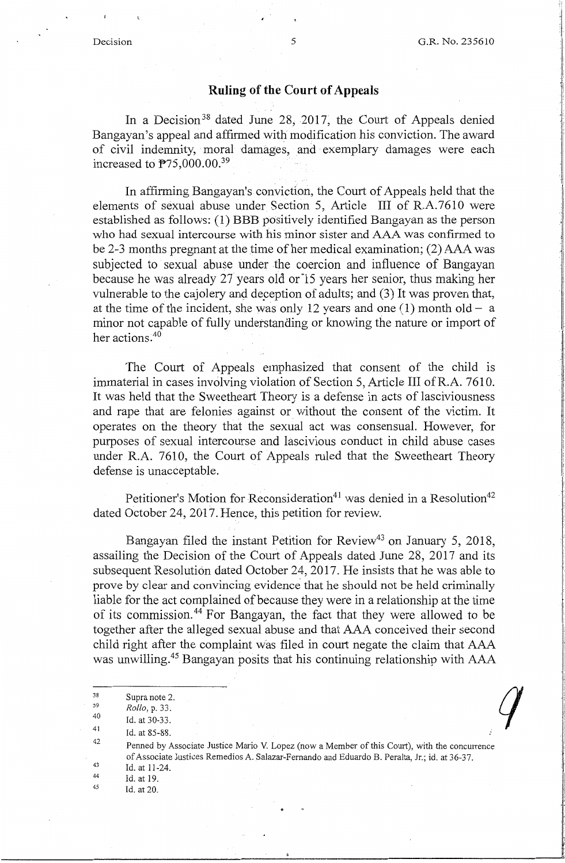'1 !

*q* 

## **Ruling of the Court of Appeals**

In a Decision<sup>38</sup> dated June 28, 2017, the Court of Appeals denied Bangayan's appeal and affirmed with modification his conviction. The award of civil indemnity, moral damages, and exemplary damages were each increased to  $\mathbb{P}75,000.00$ .<sup>39</sup>

In affirming Bangayan's conviction, the Court of Appeals held that the elements of sexual abuse under Section 5, Article III of R.A.7610 were established as follows: (1) BBB positively identified Bangayan as the person who had sexual intercourse with his minor sister and AAA was confirmed to be 2-3 months pregnant at the time of her medical examination; (2) AAA was subjected to sexual abuse under the coercion and influence of Bangayan because he was already 27 years old or 15 years her senior, thus making her vulnerable to the cajolery and deception of adults; and (3) It was proven that, at the time of the incident, she was only 12 years and one  $(1)$  month old - a minor not capable of fully understanding or knowing the nature or import of her actions.<sup>40</sup>

The Court of Appeals emphasized that consent of the child is immaterial in cases involving violation of Section 5, Article III ofR.A. 7610. It was held that the Sweetheart Theory is a defense in acts of lasciviousness and rape that are felonies against or without the consent of the victim. It operates on the theory that the sexual act was consensual. However, for purposes of sexual intercourse and lascivious conduct in child abuse cases under R.A. 7610, the Court of Appeals ruled that the Sweetheart Theory defense is unacceptable.

Petitioner's Motion for Reconsideration<sup>41</sup> was denied in a Resolution<sup>42</sup> dated October 24, 2017. Hence, this petition for review.

Bangayan filed the instant Petition for Review<sup>43</sup> on January 5, 2018, assailing the Decision of the Court of Appeals dated June 28, 2017 and its subsequent Resolution dated October 24, 2017. He insists that he was able to prove by clear and convincing evidence that he should not be held criminally liable for the act complained of because they were in a relationship at the time of its commission. 44 For Bangayan, the fact that they were allowed to be together after the alleged sexual abuse and that AAA conceived their second child right after the complaint was filed in court negate the claim that AAA was unwilling.45 Bangayan posits that his continuing relationship with AAA

- 40 Id. at 30-33.
- 41 Id. at 85-88.

42 Penned by Associate Justice Mario V. Lopez (now a Member of this Court), with the concurrence of Associate Justices Remedios A. Salazar-Fernando and Eduardo B. Peralta, Jr.; id. at 36-37.

- 43 44 Id. at 11-24.
- 45 Id. at 19.
	- Id. at 20.

<sup>38</sup>  Supra note 2.

<sup>39</sup>  *Rollo,* p. 33.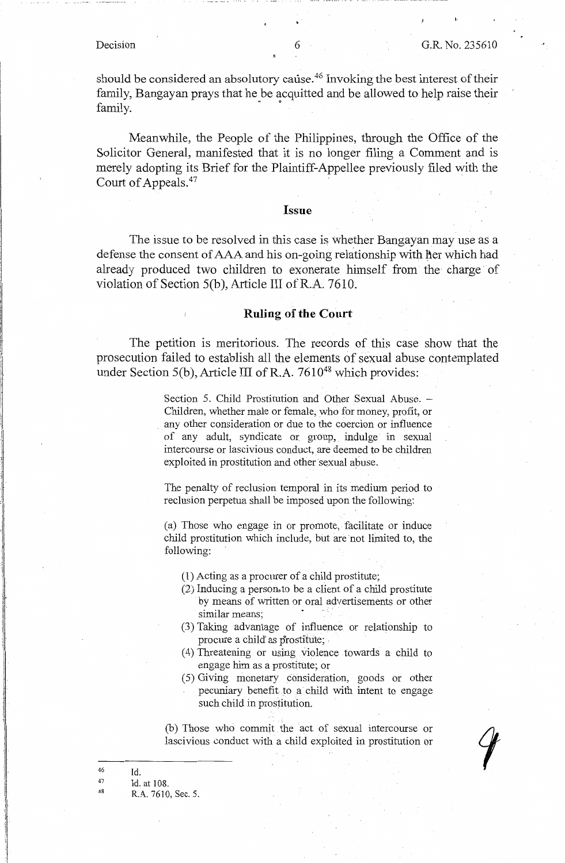l·

should be considered an absolutory cause.<sup>46</sup> Invoking the best interest of their family, Bangayan prays that he be acquitted and be allowed to help raise their family.

Meanwhile, the People of the Philippines, through the Office of the Solicitor General, manifested that it is no longer filing a Comment and is merely adopting its Brief for the Plaintiff-Appellee previously filed with the Court of Appeals.<sup>47</sup>

### **Issue**

The issue to be resolved in this case is whether Bangayan may use as a defense the consent of AAA and his on-going relationship with her which had already produced two children to exonerate himself from the charge of violation of Section  $5(b)$ , Article III of R.A. 7610.

### **Ruling of the Court**

The petition is meritorious. The records of this case show that the prosecution failed to establish all the elements of sexual abuse contemplated under Section 5(b), Article III of R.A.  $7610^{48}$  which provides:

> Section 5. Child Prostitution and Other Sexual Abuse. -Children, whether male or female, who for money, profit, or . any other consideration or due to the coercion or influence of any adult, syndicate or. group, indulge in sexual intercourse or lascivious conduct, are deemed to be children exploited in prostitution and other sexual abuse.

> The penalty of reclusion temporal in its medium period to reclusion perpetua shall be imposed upon the following:

> (a) Those who engage in or promote, facilitate or induce child prostitution which include, but are not limited to, the following:

(1) Acting as a procurer of a child prostitute;

- (2) Inducing a persons to be a client of a child prostitute by means of written or oral advertisements or other similar means;
- (3) Taking advantage of influence or relationship to procure a child as prostitute;
- ( 4) Threatening or using violence towards a child to engage him as a prostitute; or
- ( 5) Giving monetary consideration, goods or other pecuniary benefit to a child with intent to engage such child in prostitution.

(b) Those who commit the act of sexual intercourse or lascivious conduct with a child exploited in prostitution or

47 48 Id. Id. at 108.

R.A. 7610, Sec. 5.

<sup>46</sup>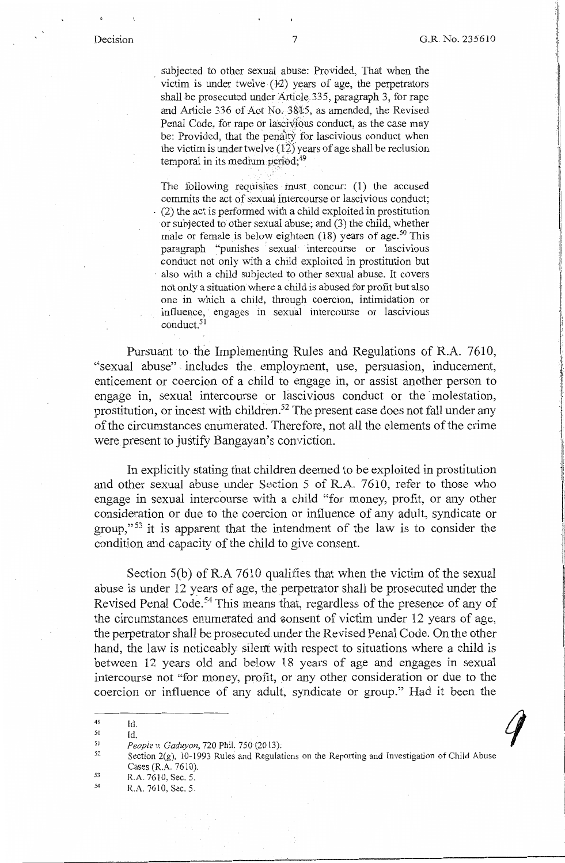!/

subjected to other sexual abuse: Provided, That when the victim is under twelve  $(12)$  years of age, the perpetrators shall be prosecuted under Article.335, paragraph 3, for rape and Article 336 of Aot No. 3815, as amended, the Revised Penal Code, for rape or lascivious conduct, as the case may be: Provided, that the penalty for lascivious conduct when the victim is under twelve  $(12)$  years of age shall be reclusion temporal in its medium period;<sup>49</sup>

The following requisites must concur: (1) the accused commits the act of sexual intercourse or lascivious conduct; . (2) the act is performed with a child exploited in prostitution or subjected to other sexual abuse; and (3) the child, whether male or female is below eighteen  $(18)$  years of age.<sup>50</sup> This paragraph "punishes sexual intercourse or lascivious conduct not only with a child exploited in prostitution but also with a child subjected to other sexual abuse. It covers not only a situation where a child is abused for profit but also one in which a child, through coercion, intimidation or influence, engages in sexual intercourse or lascivious conduct.<sup>51</sup>

Pursuant to the Implementing Rules and Regulations of R.A. 7610, "sexual abuse" includes the employment, use, persuasion, inducement, enticement or coercion of a child to engage in, or assist another person to engage in, sexual intercourse or lascivious conduct or the molestation, prostitution, or incest with children.<sup>52</sup> The present case does not fall under any of the circumstances enumerated. Therefore, not all the elements of the crime were present to justify Bangayan's conviction.

In explicitly stating that children deemed to be exploited in prostitution and other sexual abuse under Section 5 of R.A. 7610, refer to those who engage in sexual intercourse with a child "for money, profit, or any other consideration or due to the coercion or influence of any adult, syndicate or group,"<sup>53</sup> it is apparent that the intendment of the law is to consider the condition and capacity of the child to give consent.

Section  $5(b)$  of R.A  $7610$  qualifies that when the victim of the sexual abuse is under 12 years of age, the perpetrator shall be prosecuted under the Revised Penal Code.<sup>54</sup> This means that, regardless of the presence of any of the circumstances enumerated and consent of victim under 12 years of age, the perpetrator shall be prosecuted under the Revised Penal Code. On the other hand, the law is noticeably silent with respect to situations where a child is between 12 years old and below 18 years of age and engages in sexual intercourse not "for money, profit, or any other consideration or due to the coercion or influence of any adult, syndicate or group." Had it been the

49 Id.

50

51 *People v. Gaduyon,* 720 Phil. 750(2013);

53 R.A. 7610, Sec. 5.

Id.

54 R.A. 7610, Sec. 5.

<sup>52</sup>  Section 2(g), 10-1993 Rules and Regulations on the Reporting and Investigation of Child Abuse Cases (R.A. 7610).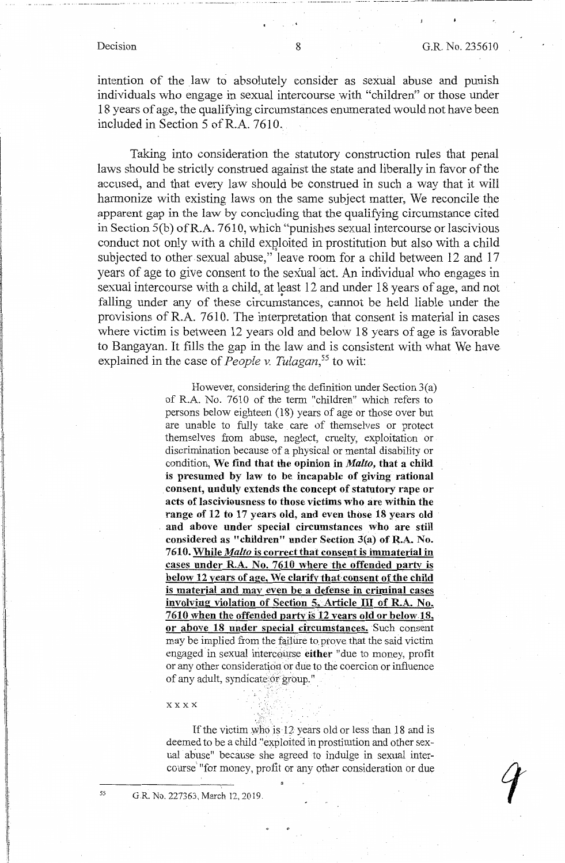I j I I -1 !<br>!<br>! ! intention of the law to absolutely consider as sexual abuse and punish individuals who engage in sexual intercourse with "children" or those under 18 years of age, the qualifying circumstances enumerated would not have been included in Section 5 ofR.A. 7610.

Taking into consideration the statutory construction rules that penal laws should be strictly construed against the state and liberally in favor of the accused, and that every law should be construed in such a way that it will harmonize with existing laws on the same subject matter, We reconcile the apparent gap in the law by concluding that the qualifying circumstance cited in Section 5(b) ofR.A. 7610, which "punishes sexual intercourse or lascivious conduct not only with a child exploited in prostitution but also with a child subjected to other sexual abuse," leave room for a child between 12 and 17 years of age to give consent to the sexual act. An individual who engages in sexual intercourse with a child, at least 12 and under 18 years of age, and not falling under any of these circumstances, cannot be held liable under the provisions of R.A. 7610. The interpretation that consent is material in cases where victim is between 12 years old and below 18 years of age is favorable to Bangayan. It fills the gap in the law and is consistent with what We have explained in the case of *People v. Tulagan*,<sup>55</sup> to wit:

> However, considering the definition under Section 3(a) of R.A. No. 7610 of the term "children" which refers to persons below eighteen (18) years of age or those over but are unable to fully take care of themselves or protect themselves from abuse, neglect, cruelty, exploitation or discrimination because of a physical or mental disability or condition, **We find that the opinion in** *Malto,* **that a child is presumed by law to be incapable of giving rational consent, unduly extends the concept of statutory rape or acts of lasciviousness to those victims who are within the range of 12 to 17 years old, and even those 18 years old**  . **and above under special circumstances who are still considered as "children" under Section 3(a) of R.A. No. 7610. While** *Ma/to* **is correct that consent is immaterial in cases under R.A. No. 7610 where the offended party is below 12 years of age, We clarify that-consent of the child is material and may even be a defense in criminal cases involving violation of Section 5, Article** III **of R.A. No. 7610 when the offended party is 12 years old or below 18. or above 18 under special circumstances.** Such consent may be implied from the failure to prove that the said victim engaged in sexual intercourse **either** "due to money, profit or any other consideration or due to the coercion or influence of any adult, syndicate.or group."

### **xxxx**

If the victim who is 12 years old or less than 18 and is deemed to be a child ''exploited in prostitution and other sexual abuse" because she agreed to indulge in sexual intercourse' "for money, profit or any other consideration or due

*55* 

G.R. No. 227363, March 12, 2019.

..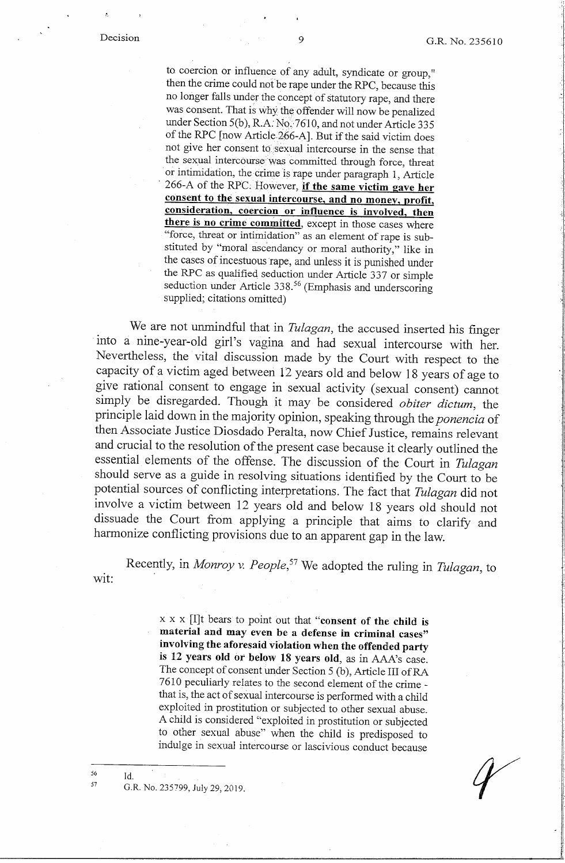, I

to coercion or influence of any adult, syndicate or group," then the crime could not be rape under the RPC, because this no longer falls under the concept of statutory rape, and there was consent. That is why the offender will now be penalized under Section 5(b), R.A. No. 7610, and not under Article 335 of the RPC [now Articie266-A]. But if the said victim does not give her consent to sexual intercourse in the sense that the sexual intercourse was committed through force, threat or intimidation, the crime is rape under paragraph 1, Article 266-A of the RPC. However, if the same victim gave her **consent to the sexual intercourse, and no money, profit, consideration, coercion or influence is involved, then**  there is no crime committed, except in those cases where "force, threat or intimidation" as an element of rape is substituted by "moral ascendancy or moral authority," like in the cases of incestuous rape, and unless it is punished under the RPC as qualified seduction under Article 337 or simple seduction under Article 338.<sup>56</sup> (Emphasis and underscoring supplied; citations omitted)

We are not unmindful that in *Tulagan,* the accused inserted his finger into a nine-year-old girl's vagina and had sexual intercourse with her. Nevertheless, the vital discussion made by the Court with respect to the capacity of a victim aged between 12 years old and below 18 years of age to give rational consent to engage in sexual activity (sexual consent) cannot simply be disregarded. Though it may be considered *obiter dictum,* the principle laid down in the majority opinion, speaking through the *ponencia* of then Associate Justice Diosdado Peralta, now Chief Justice, remains relevant and crucial to the resolution of the present case because it clearly outlined the essential elements of the offense. The discussion of the Court in *Tulagan*  should serve as a guide in resolving situations identified by the Court to be potential sources of conflicting interpretations. The fact that *Tulagan* did not involve a victim between 12 years old and below 18 years old should not dissuade the Court from applying a principle that aims to clarify and harmonize conflicting provisions due to an apparent gap in the law.

Recently, in *Monroy v. People*,<sup>57</sup> We adopted the ruling in *Tulagan*, to wit:

> x x x [I]t bears to point out that **"consent of the child is material and may even be a defense in criminal cases" involving the aforesaid violation when the offended party**  is **12 years old or below 18 years old,** as in AAA's case. The concept of consent under Section 5 (b), Article III of RA 7610 peculiarly relates to the second element of the crime that is, the act of sexual intercourse is performed with a child exploited in prostitution or subjected to other sexual abuse. A child is considered "exploited in prostitution or subjected to other sexual abuse" when the child is predisposed to indulge *in* sexual intercourse or lascivious conduct because

56 57 Id.

G.R. No. 235799, July 29, 2019.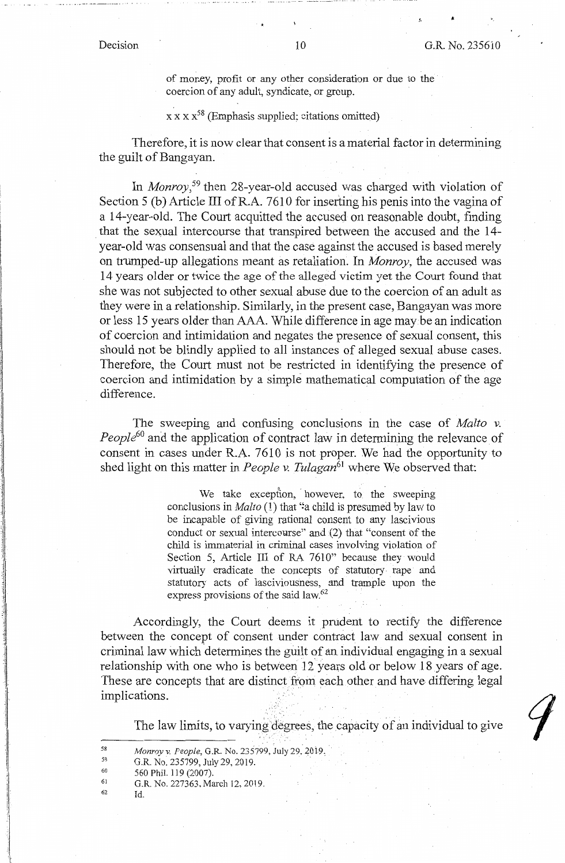.c

of money, profit or any other consideration or due to the coercion of any adult, syndicate, or group.

### $x x x x^{58}$  (Emphasis supplied; citations omitted)

Therefore, it is now clear that consent is a material factor in determining the guilt of Bangayan.

In *Monroy,* 59 then 28-year-old accused was charged with violation of Section 5 (b) Article III of R.A. 7610 for inserting his penis into the vagina of a 14-year-old. The Court acquitted the accused on reasonable doubt, finding that the sexual intercourse that transpired between the accused and the 14year-old was consensual and that the case against the accused is based merely on trumped-up allegations meant as retaliation. In *Monroy,* the accused was 14 years older or twice the age of the alleged victim yet the Court found that she was not subjected to other sexual abuse due to the coercion of an adult as they were in a relationship. Similarly, in the present case, Bangayan was more or less 15 years older than AAA. While difference in age may be an indication of coercion and intimidation and negates the presence of sexual consent, this should not be blindly applied to all instances of alleged sexual abuse cases. Therefore, the Court must not be restricted in identifying the presence of coercion and intimidation by a simple mathematical computation of the age difference.

The sweeping and confusing conclusions in the case of *Malta v. People<sup>60</sup>*and the application of contract law in determining the relevance of consent in cases under R.A. 7610 is not proper. We had the opportunity to shed light on this matter in *People v. Tulagan*<sup>61</sup> where We observed that:

> We take exception, however, to the sweeping conclusions in *Malta* (l) that *':a* child is presumed by law to be incapable of giving rational consent to any lascivious conduct or sexual intercomse" and (2) that "consent of the child is immaterial in criminal cases involving violation of Section 5, Article III of RA 7610" because they would virtually eradicate the concepts of statutory rape and statutory acts of lasciviousness, and trample upon the express provisions of the said law.<sup>62</sup>

Accordingly, the Court deems it prudent to rectify the difference between the concept of consent under contract law and sexual consent in criminal law which determines the guilt of an individual engaging in a sexual relationship with one who is between 12 years old or below 18 years of age. These are concepts that are distinct from each other and have differing legal implications.

·, ..

The law limits, to varying degrees, the capacity of an individual to give

- 60 560 Phil. 119 (2007).
- 61 G.R. No. 227363, March 12, 2019.
- 62 Id.

<sup>58</sup>  *Monroy v. People,* G.R. No. 235799, July 29, *20i9,* ·.

<sup>59</sup>  G.R. No. 235799, July 29, 2019.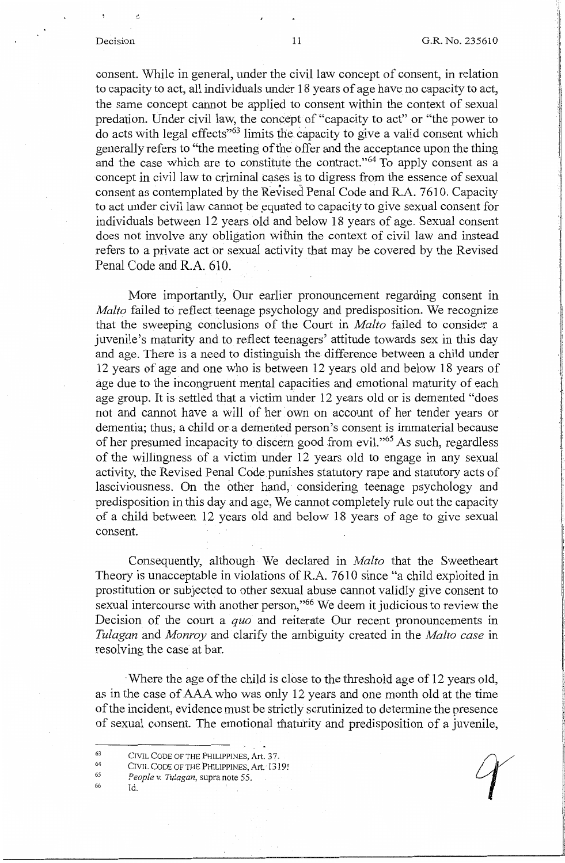consent. While in general, under the civil law concept of consent, in relation to capacity to act, all individuals under 18 years of age have no capacity to act, the same concept cannot be applied to consent within the context of sexual predation. Under civil law, the concept of "capacity to act" or "the power to do acts with legal effects"63 limits the capacity to give a valid consent which generally refers to "the meeting of the offer and the acceptance upon the thing and the case which are to constitute the contract."<sup>64</sup> To apply consent as a concept in civil law to criminal cases is to digress from the essence of sexual consent as contemplated by the Revised Penal Code and R.A. 7610. Capacity to act under civil law cannot be equated to capacity to give sexual consent for individuals between 12 years old and below 18 years of age. Sexual consent does not involve any obligation within the context of civil law and instead refers to a private act or sexual activity that may be covered by the Revised Penal Code and R.A. 610.

More importantly, Our earlier pronouncement regarding consent in *Malto* failed to reflect teenage psychology and predisposition. We recognize that the sweeping conclusions of the Court in *Malta* failed to consider a juvenile's maturity and to reflect teenagers' attitude towards sex in this day and age. There is a need to distinguish the difference between a child under 12 years of age and one who is between 12 years old and below 18 years of age due to the incongruent mental capacities and emotional maturity of each age group. It is settled that a victim under 12 years old or is demented "does not and cannot have a will of her own on account of her tender years or dementia; thus, a child or a demented person's consent is immaterial because of her presumed incapacity to discern good from evil."65 As such, regardless of the willingness of a victim under 12 years old to engage in any sexual activity, the Revised Penal Code punishes statutory rape and statutory acts of lasciviousness. On the other hand, considering teenage psychology and predisposition in this day and age, We cannot completely rule out the capacity of a child between 12 years old and below 18 years of age to give sexual consent.

Consequently, although We declared in *Malta* that the Sweetheart Theory is unacceptable in violations of R.A. 7610 since "a child exploited in prostitution or subjected to other sexual abuse cannot validly give consent to sexual intercourse with another person,"66 We deem it judicious to review the Decision of the court a *quo* and reiterate Our recent pronouncements in *Tulagan* and *Monroy* and clarify the ambiguity created in the *Malta case* in resolving the case at bar.

·Where the age of the child is close to the threshold age of 12 years old, as in the case of AAA who was only 12 years and one month old at the time of the incident, evidence must be strictly scrutinized to determine the presence of sexual consent. The emotional maturity and predisposition of a juvenile,

63 CIVIL CODE OF THE PHILIPPINES, Art. 37.

64 CIVIL CODE OF THE PHILIPPINES, Art. 1319<sup>®</sup>

- 65 *People v. Tulagan,* supra note 55.
- 66

Id.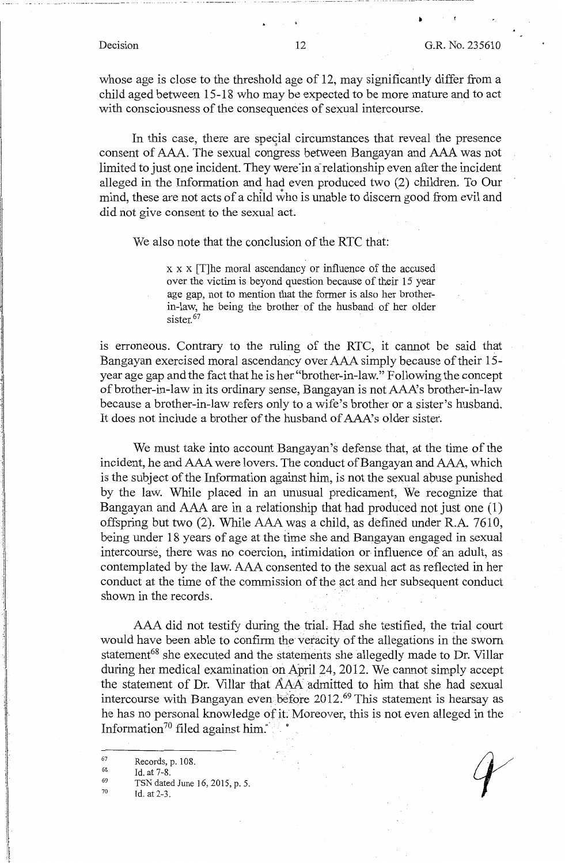whose age is close to the threshold age of 12, may significantly differ from a child aged between 15-18 who may be expected to be more mature and to act with consciousness of the consequences of sexual intercourse.

In this case, there are special circumstances that reveal the presence consent of AAA. The sexual congress between Bangayan and AAA was not limited to just one incident. They were in a relationship even after the incident alleged in the Information and had even produced two (2) children. To Our mind, these are not acts of a child who is unable to discern good from evil and did not give consent to the sexual act.

We also note that the conclusion of the RTC that:

x x x [T]he moral ascendancy or influence of the accused over the victim is beyond question because of their 15 year age gap, not to mention that the former is also her brotherin-law, he being the brother of the husband of her older  $sister<sup>67</sup>$ 

is erroneous. Contrary to the ruling of the RTC, it cannot be said that Bangayan exercised moral ascendancy over AAA simply because of their 15 year age gap and the fact that he is her "brother-in-law." Following the concept of brother-in-law in its ordinary sense, Bangayan is not AAA's brother-in-law because a brother-in-law refers only to a wife's brother or a sister's husband. It does not include a brother of the husband of AAA's older sister.

We must take into account Bangayan's defense that, at the time of the incident, he and AAA were lovers. The conduct of Bangayan and AAA, which is the subject of the Information against him, is not the sexual abuse punished by the law. While placed in an unusual predicament, We recognize that Bangayan and AAA are in a relationship that had produced not just one (1) offspring but two (2). While AAA was a child, as defined under R.A. 7610, being under 18 years of age at the time she and Bangayan engaged in sexual intercourse, there was no coercion, intimidation or influence of an adult, as contemplated by the law. AAA consented to the sexual act as reflected in her conduct at the time of the commission of the act and her subsequent conduct shown in the records.

AAA did not testify during the triaL Had she testified, the trial court would have been able to confirm the veracity of the allegations in the sworn statement<sup>68</sup> she executed and the statements she allegedly made to Dr. Villar during her medical examination on April 24, 2012. We cannot simply accept the statement of Dr. Villar that AAA admitted to him that she had sexual intercourse with Bangayan even before 2012.<sup>69</sup> This statement is hearsay as he has no personal knowledge of it. Moreover, this is not even alleged in the Information<sup>70</sup> filed against him. $\dot{\ }$ 

70 Id.at2-3.

1944 (p. 1911)<br>1945 (p. 1911)<br>1945 (p. 1911)

<sup>67</sup>  Records, p. 108.

<sup>68</sup>  69 Id. at 7-8.

TSN dated June 16, 2015, p. 5.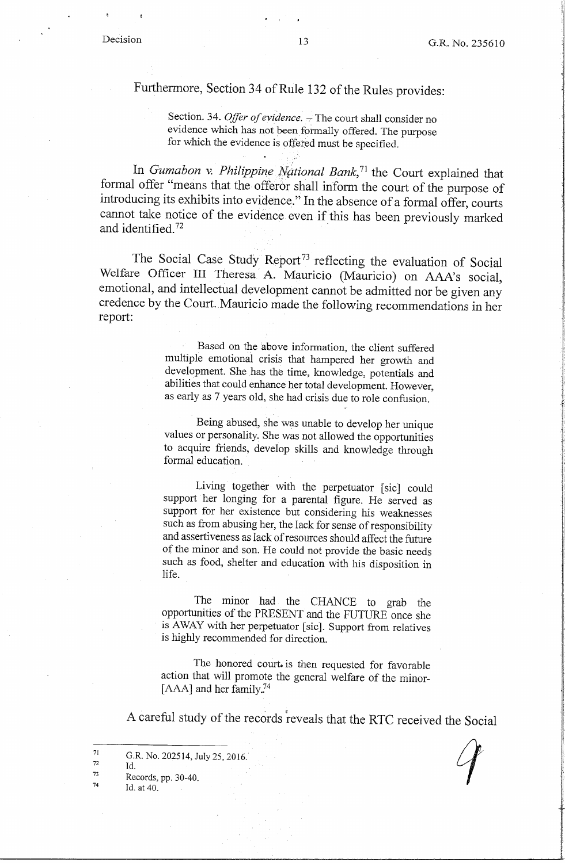# Furthermore, Section 34 of Rule 132 of the Rules provides:

Section. 34. *Offer of evidence*. - The court shall consider no evidence which has not been formally offered. The purpose for which the evidence is offered must be specified.

In *Gumabon v. Philippine National Bank*,<sup>71</sup> the Court explained that formal offer "means that the offeror shall inform the court of the purpose of introducing its exhibits into evidence." In the absence of a formal offer, courts cannot take notice of the evidence even if this has been previously marked and identified.<sup>72</sup>

The Social Case Study Report<sup>73</sup> reflecting the evaluation of Social Welfare Officer III Theresa A. Mauricio (Mauricio) on AAA's social, emotional, and intellectual development cannot be admitted nor be given any credence by the Court. Mauricio made the following recommendations in her report:

> Based on the above information, the client suffered multiple emotional crisis that hampered her growth and development. She has the time, knowledge, potentials and abilities that could enhance her total development. However, as early as 7 years old, she had crisis due to role confusion.

> Being abused, she was unable to develop her unique values or personality. She was not allowed the opportunities to acquire friends, develop skills and knowledge through formal education.

> Living together with the perpetuator [sic] could support her longing for a parental figure. He served as support for her existence but considering his weaknesses such as from abusing her, the lack for sense of responsibility and assertiveness as lack of resources should affect the future of the minor and son. He could not provide the basic needs such as food, shelter and education with his disposition in life.

> The minor had the CHANCE to grab the opportunities of the PRESENT and the FUTURE once she is AWAY with her perpetuator [sic]. Support from relatives is highly recommended for direction.

> The honored court. is then requested for favorable action that will promote the general welfare of the minor- [ $AAA$ ] and her family.<sup>74</sup>

A careful study of the records reveals that the RTC received the Social

G.R. No. 202514, July 25, 2016. Id. Records, pp. 30-40.

Id. at 40.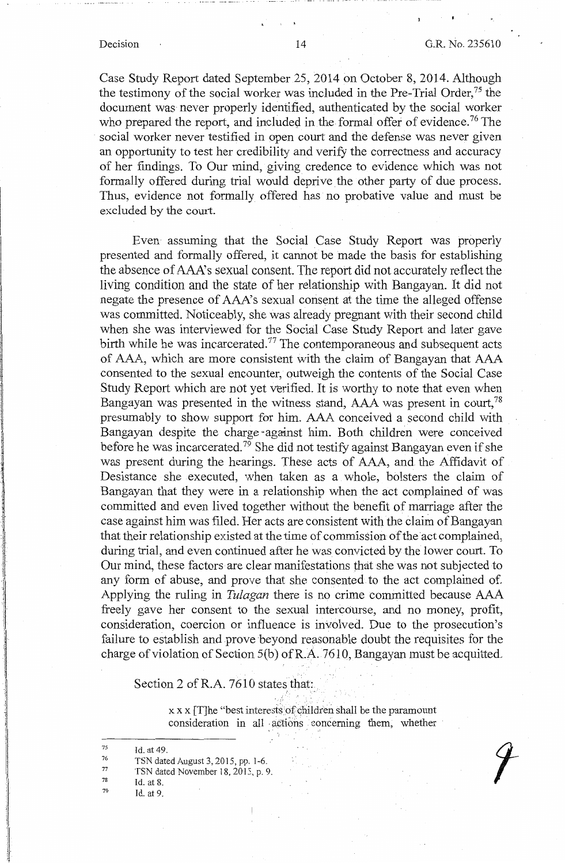ing and the property day.<br>In the contract of the contract of the contract of the contract of the contract of the contract of the contract of the contract of the contract of the contract of the contract of the contract of t I i ่น

'

 $\mathcal{C} \subset \mathcal{F}$ 

Case Study Report dated September 25, 2014 on October 8, 2014. Although the testimony of the social worker was included in the Pre-Trial Order, $75$  the document was never properly identified, authenticated by the social worker who prepared the report, and included in the formal offer of evidence.<sup>76</sup> The social worker never testified in open court and the defense was never given an opportunity to test her credibility and verify the correctness and accuracy of her findings. To Our mind, giving credence to evidence which was not formally offered during trial would deprive the other party of due process. Thus, evidence not formally offered has no probative value and must be excluded by the court.

Even assuming that the Social Case Study Report was properly presented and formally offered, it cannot be made the basis for establishing the absence of AAA's sexual consent. The report did not accurately reflect the living condition and the state of her relationship with Bangayan. It did not negate the presence of AAA's sexual consent at the time the alleged offense was committed. Noticeably, she was already pregnant with their second child when she was interviewed for the Social Case Study Report and later gave birth while he was incarcerated.<sup> $77$ </sup> The contemporaneous and subsequent acts of AAA, which are more consistent with the claim of Bangayan that AAA consented to the sexual encounter, outweigh the contents of the Social Case Study Report which are not yet verified. It is worthy to note that even when Bangayan was presented in the witness stand, AAA was present in court,<sup>78</sup> presumably to show support for him. AAA conceived a second child with Bangayan despite the charge ~against him. Both children were conceived before he was incarcerated.<sup>79</sup> She did not testify against Bangayan even if she was present during the hearings. These acts of AAA, and the Affidavit of Desistance she executed, when taken as a whole, bolsters the claim of Bangayan that they were in a relationship when the act complained of was committed and even lived together without the benefit of marriage after the case against him was filed. Her acts are consistent with the claim of Bangayan that their relationship existed at the time of commission of the act complained, during trial, and even continued after he was convicted by the lower court. To Our mind, these factors are clear manifestations that she was not subjected to any form of abuse, and prove that she consented to the act complained of. Applying the ruling in *Tulagan* there is no crime committed because AAA freely gave her consent to the sexual intercourse, and no money, profit, consideration, coercion or influence is involved. Due to the prosecution's failure to establish and prove beyond reasonable doubt the requisites for the charge of violation of Section  $5(b)$  of R.A. 7610, Bangayan must be acquitted.

Section 2 of R.A. 7610 states that:

 $x \times x$  [T]he "best interests of children shall be the paramount consideration in all actions concerning them, whether

- 78 Id. at 8.
- 79 Id. at 9.

<sup>75</sup>  Id. at 49.

<sup>76</sup>  TSN dated August 3, 2015, pp, 1-6.

<sup>77</sup>  TSN dated November 18, 2015, p. 9.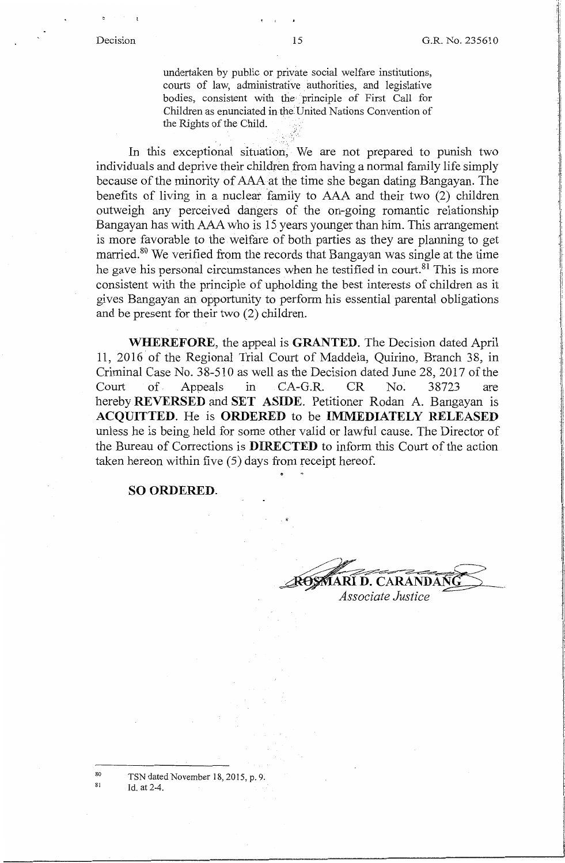undertaken by public or private social welfare institutions, courts of law, administrative authorities, and legislative bodies, consistent with the principle of First Call for Children as enunciated in the United Nations Convention of the Rights of the Child.

In this exceptional situation, We are not prepared to punish two individuals and deprive their children from having a normal family life simply because of the minority of AAA at the time she began dating Bangayan. The benefits of living in a nuclear family to  $AAA$  and their two  $(2)$  children outweigh any perceived dangers of the on-going romantic relationship Bangayan has with AAA who is 15 years younger than him. This arrangement is more favorable to the welfare of both parties as they are planning to get married.<sup>80</sup> We verified from the records that Bangayan was single at the time he gave his personal circumstances when he testified in court.<sup>81</sup> This is more consistent with the principle of upholding the best interests of children as it gives Bangayan an opportunity to perform his essential parental obligations and be present for their two (2) children.

**WHEREFORE,** the appeal is **GRANTED.** The Decision dated April 11, 2016 of the Regional Trial Court of Maddela, Quirino, Branch 38, in Criminal Case No. 38-510 as well as the Decision dated June 28, 2017 of the Court of. Appeals in CA-G.R. CR No. 38723 are hereby **REVERSED** and **SET ASIDE.** Petitioner Rodan A. Bangayan is **ACQUITTED.** He is **ORDERED** to be **IMMEDIATELY RELEASED**  unless he is being held for some other valid or lawful cause. The Director of the Bureau of Corrections is **DIRECTED** to inform this Court of the action taken hereon within five (5) days from receipt hereof.

**SO ORDERED.** 

**D. CARANDAN** 

Associate Justice

TSN dated November 18, 2015, p. 9.

Id. at 2-4.

80 81  $\cdot$   $\cdot$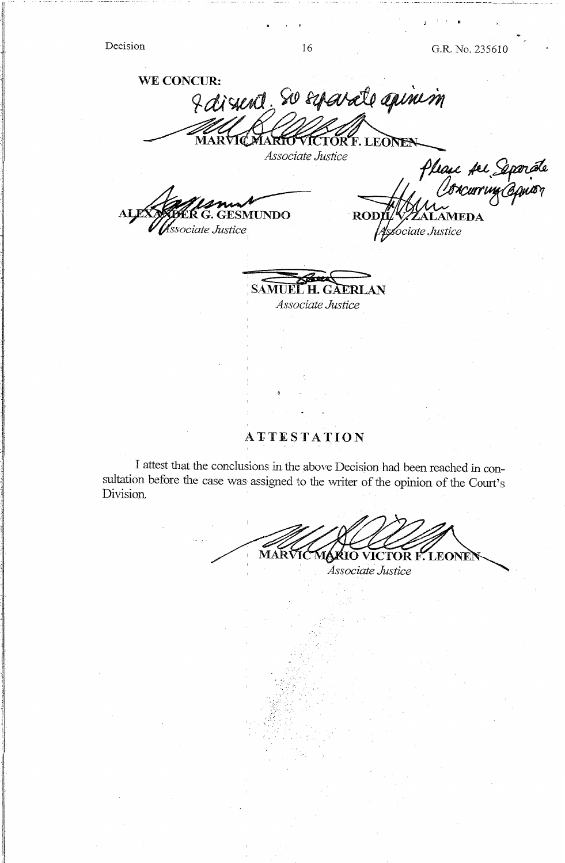l

l .)

 $\mathbf{A} = \begin{bmatrix} \mathbf{A} & \mathbf{A} & \mathbf{A} & \mathbf{A} & \mathbf{A} & \mathbf{A} & \mathbf{A} & \mathbf{A} & \mathbf{A} & \mathbf{A} & \mathbf{A} & \mathbf{A} & \mathbf{A} & \mathbf{A} & \mathbf{A} & \mathbf{A} & \mathbf{A} & \mathbf{A} & \mathbf{A} & \mathbf{A} & \mathbf{A} & \mathbf{A} & \mathbf{A} & \mathbf{A} & \mathbf{A} & \mathbf{A} & \mathbf{A} & \mathbf{A} & \mathbf{A} & \mathbf{$ 

Decision 16 G.R. No. 235610

WE CONCUR: I dissent, so esparate apinim F. LEOI

# *Associate Justice*

SMUNDO ssociate Justice

Please fer Separat<br>Oorcurring Opnior **ROD AMEDA** ociate Justice

**SAMUEL H. GAERLAN** *Associate Justice* 

# **AJ:TESTATION**

I attest that the conclusions in the,above Decision had been reached in consultation before the case was assigned to the writer of the opinion of the Court's Division.

MARVICMARIO VICTOR F. LEONE] *Associate Justice*